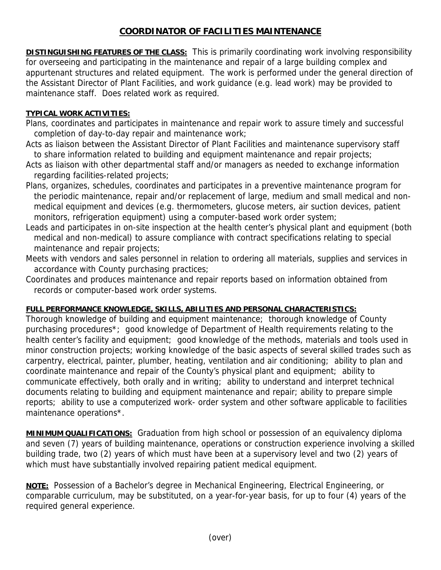## **COORDINATOR OF FACILITIES MAINTENANCE**

**DISTINGUISHING FEATURES OF THE CLASS:** This is primarily coordinating work involving responsibility for overseeing and participating in the maintenance and repair of a large building complex and appurtenant structures and related equipment. The work is performed under the general direction of the Assistant Director of Plant Facilities, and work guidance (e.g. lead work) may be provided to maintenance staff. Does related work as required.

## **TYPICAL WORK ACTIVITIES:**

- Plans, coordinates and participates in maintenance and repair work to assure timely and successful completion of day-to-day repair and maintenance work;
- Acts as liaison between the Assistant Director of Plant Facilities and maintenance supervisory staff to share information related to building and equipment maintenance and repair projects;
- Acts as liaison with other departmental staff and/or managers as needed to exchange information regarding facilities-related projects;
- Plans, organizes, schedules, coordinates and participates in a preventive maintenance program for the periodic maintenance, repair and/or replacement of large, medium and small medical and non medical equipment and devices (e.g. thermometers, glucose meters, air suction devices, patient monitors, refrigeration equipment) using a computer-based work order system;
- Leads and participates in on-site inspection at the health center's physical plant and equipment (both medical and non-medical) to assure compliance with contract specifications relating to special maintenance and repair projects;
- Meets with vendors and sales personnel in relation to ordering all materials, supplies and services in accordance with County purchasing practices;
- Coordinates and produces maintenance and repair reports based on information obtained from records or computer-based work order systems.

## **FULL PERFORMANCE KNOWLEDGE, SKILLS, ABILITIES AND PERSONAL CHARACTERISTICS:**

Thorough knowledge of building and equipment maintenance; thorough knowledge of County purchasing procedures\*; good knowledge of Department of Health requirements relating to the health center's facility and equipment; good knowledge of the methods, materials and tools used in minor construction projects; working knowledge of the basic aspects of several skilled trades such as carpentry, electrical, painter, plumber, heating, ventilation and air conditioning; ability to plan and coordinate maintenance and repair of the County's physical plant and equipment; ability to communicate effectively, both orally and in writing; ability to understand and interpret technical documents relating to building and equipment maintenance and repair; ability to prepare simple reports; ability to use a computerized work- order system and other software applicable to facilities maintenance operations\*.

**MINIMUM QUALIFICATIONS:** Graduation from high school or possession of an equivalency diploma and seven (7) years of building maintenance, operations or construction experience involving a skilled building trade, two (2) years of which must have been at a supervisory level and two (2) years of which must have substantially involved repairing patient medical equipment.

**NOTE:** Possession of a Bachelor's degree in Mechanical Engineering, Electrical Engineering, or comparable curriculum, may be substituted, on a year-for-year basis, for up to four (4) years of the required general experience.